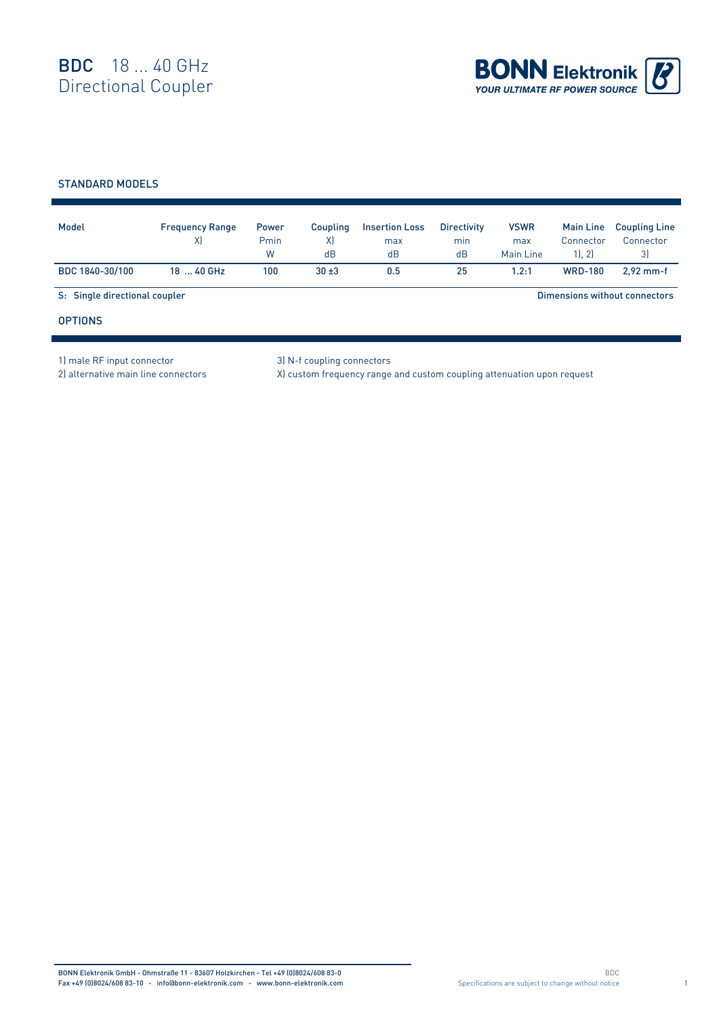

## STANDARD MODELS

| Model                         | <b>Frequency Range</b><br>X) | <b>Power</b><br>Pmin<br>W | Coupling<br>X)<br>dB | <b>Insertion Loss</b><br>max<br>dB | <b>Directivity</b><br>min<br>dB | <b>VSWR</b><br>max<br>Main Line | <b>Main Line</b><br>Connector<br>1, 2 | <b>Coupling Line</b><br>Connector<br>3) |  |
|-------------------------------|------------------------------|---------------------------|----------------------|------------------------------------|---------------------------------|---------------------------------|---------------------------------------|-----------------------------------------|--|
| BDC 1840-30/100               | 18  40 GHz                   | 100                       | $30 + 3$             | 0.5                                | 25                              | 1.2:1                           | <b>WRD-180</b>                        | $2.92$ mm-f                             |  |
| S: Single directional coupler |                              |                           |                      |                                    |                                 | Dimensions without connectors   |                                       |                                         |  |
| <b>OPTIONS</b>                |                              |                           |                      |                                    |                                 |                                 |                                       |                                         |  |

1) male RF input connector 3) N-f coupling connectors

2) alternative main line connectors X) custom frequency range and custom coupling attenuation upon request